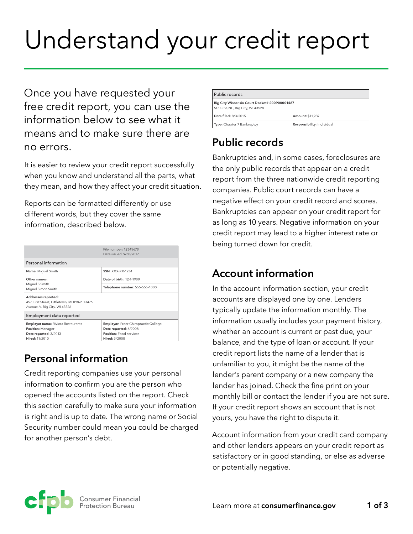# Understand your credit report

Once you have requested your free credit report, you can use the information below to see what it means and to make sure there are no errors.

It is easier to review your credit report successfully when you know and understand all the parts, what they mean, and how they affect your credit situation.

Reports can be formatted differently or use different words, but they cover the same information, described below.

|                                                                              | File number: 12345678<br>Date issued: 9/30/2017 |
|------------------------------------------------------------------------------|-------------------------------------------------|
|                                                                              |                                                 |
| Personal information                                                         |                                                 |
| Name: Miguel Smith                                                           | <b>SSN: XXX-XX-1234</b>                         |
| Other names:<br>Miquel S Smith<br>Miquel Simon Smith                         | Date of birth: 12-1-1980                        |
|                                                                              | Telephone number: 555-555-1000                  |
| Addresses reported:                                                          |                                                 |
| 457 First Street, Littletown, MI 09876 13476<br>Avenue A, Big City, WI 43526 |                                                 |
|                                                                              |                                                 |
| Employment data reported                                                     |                                                 |
| Employer name: Riviera Restaurants                                           | <b>Employer:</b> Freer Chiropractic College     |
| Position: Manager                                                            | Date reported: 6/2008                           |
| Date reported: 3/2013                                                        | Position: Food services                         |
| Hired: 11/2010                                                               | Hired: 3/2008                                   |
|                                                                              |                                                 |

# **Personal information**

Credit reporting companies use your personal information to confirm you are the person who opened the accounts listed on the report. Check this section carefully to make sure your information is right and is up to date. The wrong name or Social Security number could mean you could be charged for another person's debt.

| Public records                                                                    |                            |  |
|-----------------------------------------------------------------------------------|----------------------------|--|
| Big City Wisconsin Court Docket# 200900001467<br>515 C St, NE, Big City, WI 43528 |                            |  |
| Date filed: 8/3/2015                                                              | Amount: \$11,987           |  |
| Type: Chapter 7 Bankruptcy                                                        | Responsibility: Individual |  |

# **Public records**

Bankruptcies and, in some cases, foreclosures are the only public records that appear on a credit report from the three nationwide credit reporting companies. Public court records can have a negative effect on your credit record and scores. Bankruptcies can appear on your credit report for as long as 10 years. Negative information on your credit report may lead to a higher interest rate or being turned down for credit.

# **Account information**

In the account information section, your credit accounts are displayed one by one. Lenders typically update the information monthly. The information usually includes your payment history, whether an account is current or past due, your balance, and the type of loan or account. If your credit report lists the name of a lender that is unfamiliar to you, it might be the name of the lender's parent company or a new company the lender has joined. Check the fine print on your monthly bill or contact the lender if you are not sure. If your credit report shows an account that is not yours, you have the right to dispute it.

Account information from your credit card company and other lenders appears on your credit report as satisfactory or in good standing, or else as adverse or potentially negative.

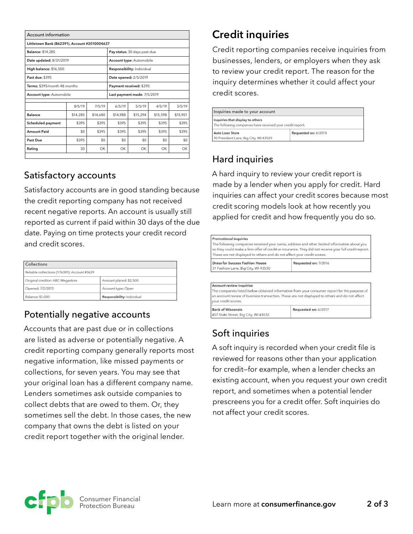| <b>Account information</b>                    |          |                                 |          |                             |          |          |
|-----------------------------------------------|----------|---------------------------------|----------|-----------------------------|----------|----------|
| Littletown Bank (B62391), Account #2010004637 |          |                                 |          |                             |          |          |
| <b>Balance: \$14,285</b>                      |          | Pay status: 30 days past due    |          |                             |          |          |
| Date updated: 8/31/2019                       |          | <b>Account type:</b> Automobile |          |                             |          |          |
| High balance: \$16,500                        |          | Responsibility: Individual      |          |                             |          |          |
| Past due: \$395                               |          |                                 |          | Date opened: 2/5/2019       |          |          |
| Terms: \$395/month 48 months                  |          | Payment received: \$395         |          |                             |          |          |
| Account type: Automobile                      |          |                                 |          | Last payment made: 7/5/2019 |          |          |
|                                               | 8/5/19   | 7/5/19                          | 6/5/19   | 5/5/19                      | 4/5/19   | 3/5/19   |
| <b>Balance</b>                                | \$14,285 | \$14,680                        | \$14,988 | \$15,294                    | \$15,598 | \$15,901 |
| Scheduled payment                             | \$395    | \$395                           | \$395    | \$395                       | \$395    | \$395    |
| <b>Amount Paid</b>                            | \$0      | \$395                           | \$395    | \$395                       | \$395    | \$395    |
| Past Due                                      | \$395    | \$0                             | \$0      | \$0                         | \$0      | \$0      |
| Rating                                        | 30       | OK                              | ОК       | OK.                         | OK       | OK       |

#### Satisfactory accounts

Satisfactory accounts are in good standing because the credit reporting company has not received recent negative reports. An account is usually still reported as current if paid within 30 days of the due date. Paying on time protects your credit record and credit scores. Satisfactory accounts are in good standing becaus the credit reporting company has not received -date. Paying on time protects yo  $\bullet$  where  $\bullet$  $200$ 

| Collections                                  |                            |
|----------------------------------------------|----------------------------|
| Reliable collections (Y76381): Account #3629 |                            |
| Original creditor: ABC Megastore             | Amount placed: \$2,500     |
| Opened: 7/2/2013                             | Account type: Open         |
| Balance: \$1.000                             | Responsibility: Individual |

## Potentially negative accounts

Accounts that are past due or in collections are listed as adverse or potentially negative. A credit reporting company generally reports most negative information, like missed payments or collections, for seven years. You may see that your original loan has a different company name. Lenders sometimes ask outside companies to collect debts that are owed to them. Or, they sometimes sell the debt. In those cases, the new company that owns the debt is listed on your credit report together with the original lender.

# **Credit inquiries**

Credit reporting companies receive inquiries from businesses, lenders, or employers when they ask to review your credit report. The reason for the inquiry determines whether it could affect your credit scores.

| Inquiries made to your account                                                                |  |  |
|-----------------------------------------------------------------------------------------------|--|--|
| Inquiries that display to others<br>The following companies have received your credit report. |  |  |
| Requested on: 6/2013<br>Auto Loan Store<br>90 President Lane, Big City, WI 43529              |  |  |

## Hard inquiries

A hard inquiry to review your credit report is made by a lender when you apply for credit. Hard inquiries can affect your credit scores because most credit scoring models look at how recently you applied for credit and how frequently you do so.

| $B = -1 - 134B - 125C$                                                                                                                                                                                                                            | $D - \cdots - 1 - 1 - \cdots$ / (0017)                                                                |  |
|---------------------------------------------------------------------------------------------------------------------------------------------------------------------------------------------------------------------------------------------------|-------------------------------------------------------------------------------------------------------|--|
| Account review inquiries<br>The companies listed below obtained information from your consumer report for the purpose of<br>an account review of business transaction. These are not displayed to others and do not affect<br>your credit scores. |                                                                                                       |  |
| Dress for Success Fashion House<br>31 Fashion Lane, Big City, WI 43530                                                                                                                                                                            | Requested on: 7/2016                                                                                  |  |
| <b>Promotional inquiries</b><br>The following companies received your name, address and other limited information about you<br>These are not displayed to others and do not affect your credit scores.                                            | so they could make a firm offer of credit or insurance. They did not receive your full credit report. |  |

# Soft inquiries

457 State Street, Big City, WI 43532

A soft inquiry is recorded when your credit file is reviewed for reasons other than your application for credit—for example, when a lender checks an existing account, when you request your own credit report, and sometimes when a potential lender prescreens you for a credit offer. Soft inquiries do not affect your credit scores.